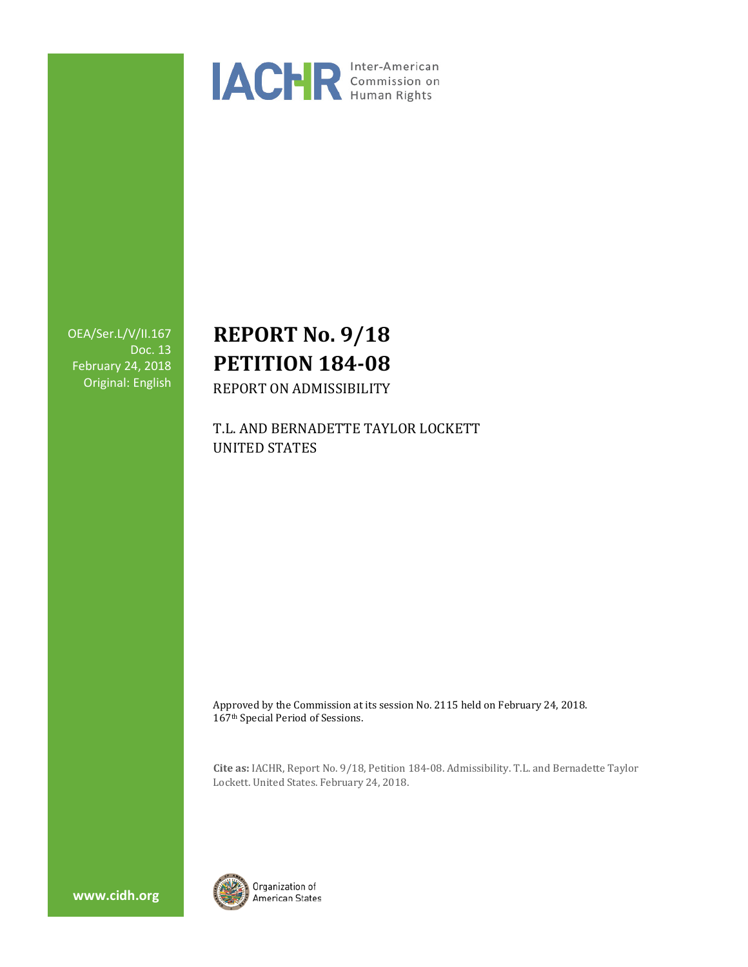

OEA/Ser.L/V/II.167 Doc. 13 February 24, 2018 Original: English

# **REPORT No. 9/18 PETITION 184-08**

REPORT ON ADMISSIBILITY

T.L. AND BERNADETTE TAYLOR LOCKETT UNITED STATES

Approved by the Commission at its session No. 2115 held on February 24, 2018. 167th Special Period of Sessions.

**Cite as:** IACHR, Report No. 9/18, Petition 184-08. Admissibility. T.L. and Bernadette Taylor Lockett. United States. February 24, 2018.



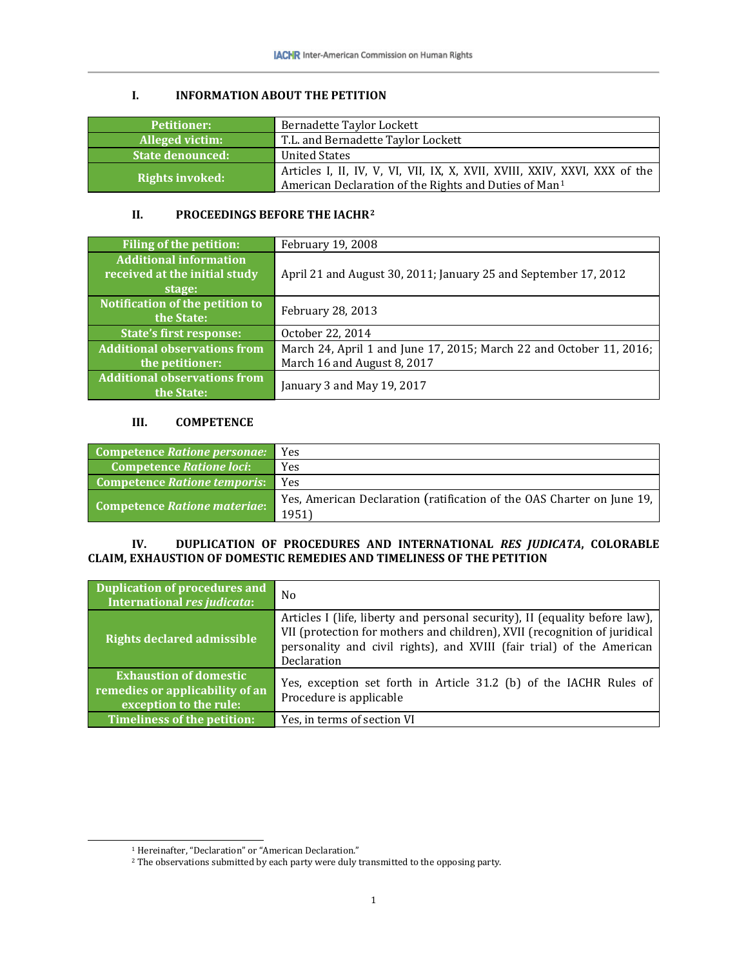# **I. INFORMATION ABOUT THE PETITION**

| <b>Petitioner:</b>      | Bernadette Taylor Lockett                                                                                                                       |
|-------------------------|-------------------------------------------------------------------------------------------------------------------------------------------------|
| Alleged victim:         | T.L. and Bernadette Taylor Lockett                                                                                                              |
| <b>State denounced:</b> | <b>United States</b>                                                                                                                            |
| <b>Rights invoked:</b>  | Articles I, II, IV, V, VI, VII, IX, X, XVII, XVIII, XXIV, XXVI, XXX of the<br>American Declaration of the Rights and Duties of Man <sup>1</sup> |

## **II. PROCEEDINGS BEFORE THE IACHR[2](#page-1-1)**

| Filing of the petition:             | February 19, 2008                                                   |
|-------------------------------------|---------------------------------------------------------------------|
| <b>Additional information</b>       |                                                                     |
| received at the initial study       | April 21 and August 30, 2011; January 25 and September 17, 2012     |
| stage:                              |                                                                     |
| Notification of the petition to     | February 28, 2013                                                   |
| the State:                          |                                                                     |
| <b>State's first response:</b>      | October 22, 2014                                                    |
| <b>Additional observations from</b> | March 24, April 1 and June 17, 2015; March 22 and October 11, 2016; |
| the petitioner:                     | March 16 and August 8, 2017                                         |
| <b>Additional observations from</b> | January 3 and May 19, 2017                                          |
| the State:                          |                                                                     |

### **III. COMPETENCE**

| Competence Ratione personae:    | Yes                                                                               |
|---------------------------------|-----------------------------------------------------------------------------------|
| <b>Competence Ratione loci:</b> | Yes                                                                               |
| Competence Ratione temporis:    | Yes                                                                               |
| Competence Ratione materiae:    | Yes, American Declaration (ratification of the OAS Charter on June 19,  <br>1951) |

## **IV. DUPLICATION OF PROCEDURES AND INTERNATIONAL** *RES JUDICATA***, COLORABLE CLAIM, EXHAUSTION OF DOMESTIC REMEDIES AND TIMELINESS OF THE PETITION**

| <b>Duplication of procedures and</b><br>International res judicata:                        | N <sub>0</sub>                                                                                                                                                                                                                                   |
|--------------------------------------------------------------------------------------------|--------------------------------------------------------------------------------------------------------------------------------------------------------------------------------------------------------------------------------------------------|
| <b>Rights declared admissible</b>                                                          | Articles I (life, liberty and personal security), II (equality before law),<br>VII (protection for mothers and children), XVII (recognition of juridical<br>personality and civil rights), and XVIII (fair trial) of the American<br>Declaration |
| <b>Exhaustion of domestic</b><br>remedies or applicability of an<br>exception to the rule: | Yes, exception set forth in Article 31.2 (b) of the IACHR Rules of<br>Procedure is applicable                                                                                                                                                    |
| <b>Timeliness of the petition:</b>                                                         | Yes, in terms of section VI                                                                                                                                                                                                                      |

 <sup>1</sup> Hereinafter, "Declaration" or "American Declaration."

<span id="page-1-1"></span><span id="page-1-0"></span><sup>&</sup>lt;sup>2</sup> The observations submitted by each party were duly transmitted to the opposing party.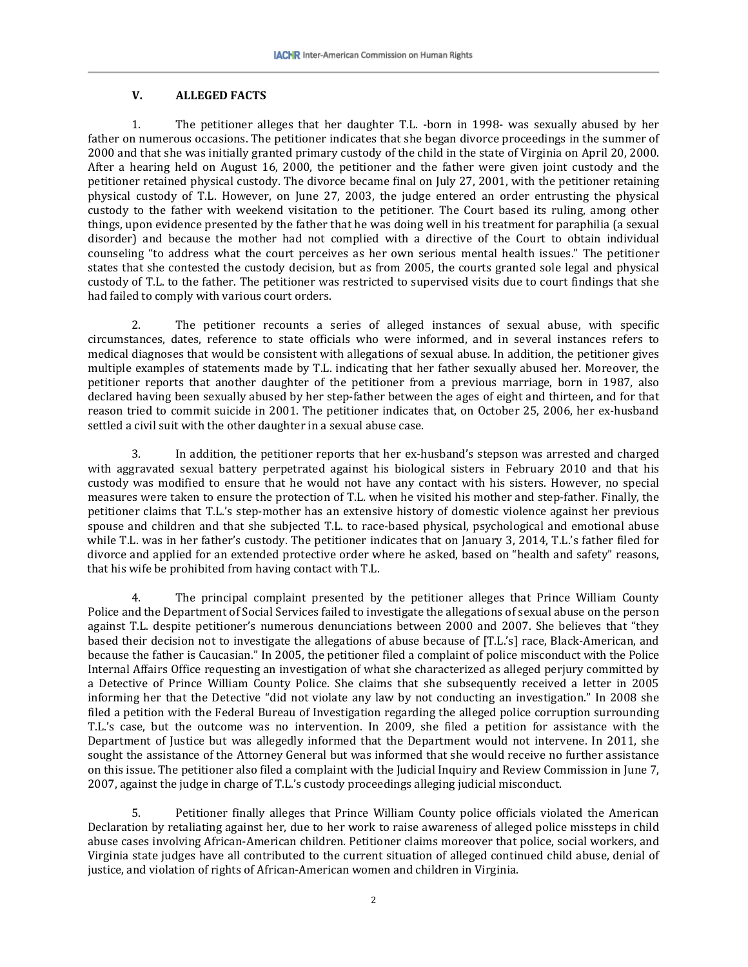#### **V. ALLEGED FACTS**

1. The petitioner alleges that her daughter T.L. -born in 1998- was sexually abused by her father on numerous occasions. The petitioner indicates that she began divorce proceedings in the summer of 2000 and that she was initially granted primary custody of the child in the state of Virginia on April 20, 2000. After a hearing held on August 16, 2000, the petitioner and the father were given joint custody and the petitioner retained physical custody. The divorce became final on July 27, 2001, with the petitioner retaining physical custody of T.L. However, on June 27, 2003, the judge entered an order entrusting the physical custody to the father with weekend visitation to the petitioner. The Court based its ruling, among other things, upon evidence presented by the father that he was doing well in his treatment for paraphilia (a sexual disorder) and because the mother had not complied with a directive of the Court to obtain individual counseling "to address what the court perceives as her own serious mental health issues." The petitioner states that she contested the custody decision, but as from 2005, the courts granted sole legal and physical custody of T.L. to the father. The petitioner was restricted to supervised visits due to court findings that she had failed to comply with various court orders.

2. The petitioner recounts a series of alleged instances of sexual abuse, with specific circumstances, dates, reference to state officials who were informed, and in several instances refers to medical diagnoses that would be consistent with allegations of sexual abuse. In addition, the petitioner gives multiple examples of statements made by T.L. indicating that her father sexually abused her. Moreover, the petitioner reports that another daughter of the petitioner from a previous marriage, born in 1987, also declared having been sexually abused by her step-father between the ages of eight and thirteen, and for that reason tried to commit suicide in 2001. The petitioner indicates that, on October 25, 2006, her ex-husband settled a civil suit with the other daughter in a sexual abuse case.

3. In addition, the petitioner reports that her ex-husband's stepson was arrested and charged with aggravated sexual battery perpetrated against his biological sisters in February 2010 and that his custody was modified to ensure that he would not have any contact with his sisters. However, no special measures were taken to ensure the protection of T.L. when he visited his mother and step-father. Finally, the petitioner claims that T.L.'s step-mother has an extensive history of domestic violence against her previous spouse and children and that she subjected T.L. to race-based physical, psychological and emotional abuse while T.L. was in her father's custody. The petitioner indicates that on January 3, 2014, T.L.'s father filed for divorce and applied for an extended protective order where he asked, based on "health and safety" reasons, that his wife be prohibited from having contact with T.L.

4. The principal complaint presented by the petitioner alleges that Prince William County Police and the Department of Social Services failed to investigate the allegations of sexual abuse on the person against T.L. despite petitioner's numerous denunciations between 2000 and 2007. She believes that "they based their decision not to investigate the allegations of abuse because of [T.L.'s] race, Black-American, and because the father is Caucasian." In 2005, the petitioner filed a complaint of police misconduct with the Police Internal Affairs Office requesting an investigation of what she characterized as alleged perjury committed by a Detective of Prince William County Police. She claims that she subsequently received a letter in 2005 informing her that the Detective "did not violate any law by not conducting an investigation." In 2008 she filed a petition with the Federal Bureau of Investigation regarding the alleged police corruption surrounding T.L.'s case, but the outcome was no intervention. In 2009, she filed a petition for assistance with the Department of Justice but was allegedly informed that the Department would not intervene. In 2011, she sought the assistance of the Attorney General but was informed that she would receive no further assistance on this issue. The petitioner also filed a complaint with the Judicial Inquiry and Review Commission in June 7, 2007, against the judge in charge of T.L.'s custody proceedings alleging judicial misconduct.

5. Petitioner finally alleges that Prince William County police officials violated the American Declaration by retaliating against her, due to her work to raise awareness of alleged police missteps in child abuse cases involving African-American children. Petitioner claims moreover that police, social workers, and Virginia state judges have all contributed to the current situation of alleged continued child abuse, denial of justice, and violation of rights of African-American women and children in Virginia.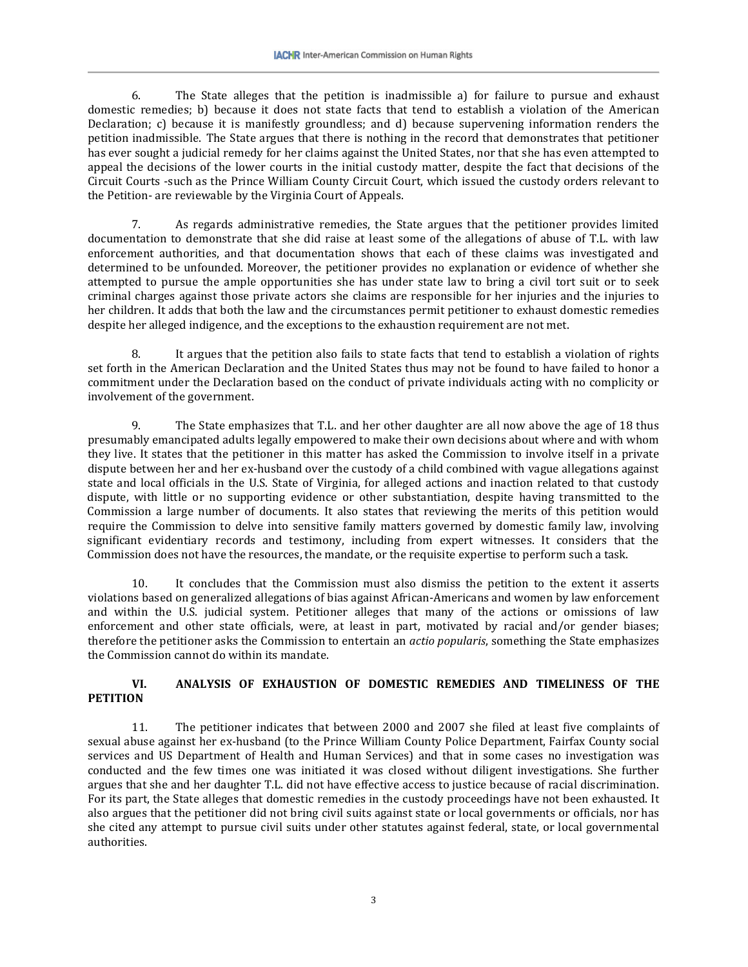6. The State alleges that the petition is inadmissible a) for failure to pursue and exhaust domestic remedies; b) because it does not state facts that tend to establish a violation of the American Declaration; c) because it is manifestly groundless; and d) because supervening information renders the petition inadmissible. The State argues that there is nothing in the record that demonstrates that petitioner has ever sought a judicial remedy for her claims against the United States, nor that she has even attempted to appeal the decisions of the lower courts in the initial custody matter, despite the fact that decisions of the Circuit Courts -such as the Prince William County Circuit Court, which issued the custody orders relevant to the Petition- are reviewable by the Virginia Court of Appeals.

7. As regards administrative remedies, the State argues that the petitioner provides limited documentation to demonstrate that she did raise at least some of the allegations of abuse of T.L. with law enforcement authorities, and that documentation shows that each of these claims was investigated and determined to be unfounded. Moreover, the petitioner provides no explanation or evidence of whether she attempted to pursue the ample opportunities she has under state law to bring a civil tort suit or to seek criminal charges against those private actors she claims are responsible for her injuries and the injuries to her children. It adds that both the law and the circumstances permit petitioner to exhaust domestic remedies despite her alleged indigence, and the exceptions to the exhaustion requirement are not met.

8. It argues that the petition also fails to state facts that tend to establish a violation of rights set forth in the American Declaration and the United States thus may not be found to have failed to honor a commitment under the Declaration based on the conduct of private individuals acting with no complicity or involvement of the government.

9. The State emphasizes that T.L. and her other daughter are all now above the age of 18 thus presumably emancipated adults legally empowered to make their own decisions about where and with whom they live. It states that the petitioner in this matter has asked the Commission to involve itself in a private dispute between her and her ex-husband over the custody of a child combined with vague allegations against state and local officials in the U.S. State of Virginia, for alleged actions and inaction related to that custody dispute, with little or no supporting evidence or other substantiation, despite having transmitted to the Commission a large number of documents. It also states that reviewing the merits of this petition would require the Commission to delve into sensitive family matters governed by domestic family law, involving significant evidentiary records and testimony, including from expert witnesses. It considers that the Commission does not have the resources, the mandate, or the requisite expertise to perform such a task.

10. It concludes that the Commission must also dismiss the petition to the extent it asserts violations based on generalized allegations of bias against African-Americans and women by law enforcement and within the U.S. judicial system. Petitioner alleges that many of the actions or omissions of law enforcement and other state officials, were, at least in part, motivated by racial and/or gender biases; therefore the petitioner asks the Commission to entertain an *actio popularis*, something the State emphasizes the Commission cannot do within its mandate.

### **VI. ANALYSIS OF EXHAUSTION OF DOMESTIC REMEDIES AND TIMELINESS OF THE PETITION**

11. The petitioner indicates that between 2000 and 2007 she filed at least five complaints of sexual abuse against her ex-husband (to the Prince William County Police Department, Fairfax County social services and US Department of Health and Human Services) and that in some cases no investigation was conducted and the few times one was initiated it was closed without diligent investigations. She further argues that she and her daughter T.L. did not have effective access to justice because of racial discrimination. For its part, the State alleges that domestic remedies in the custody proceedings have not been exhausted. It also argues that the petitioner did not bring civil suits against state or local governments or officials, nor has she cited any attempt to pursue civil suits under other statutes against federal, state, or local governmental authorities.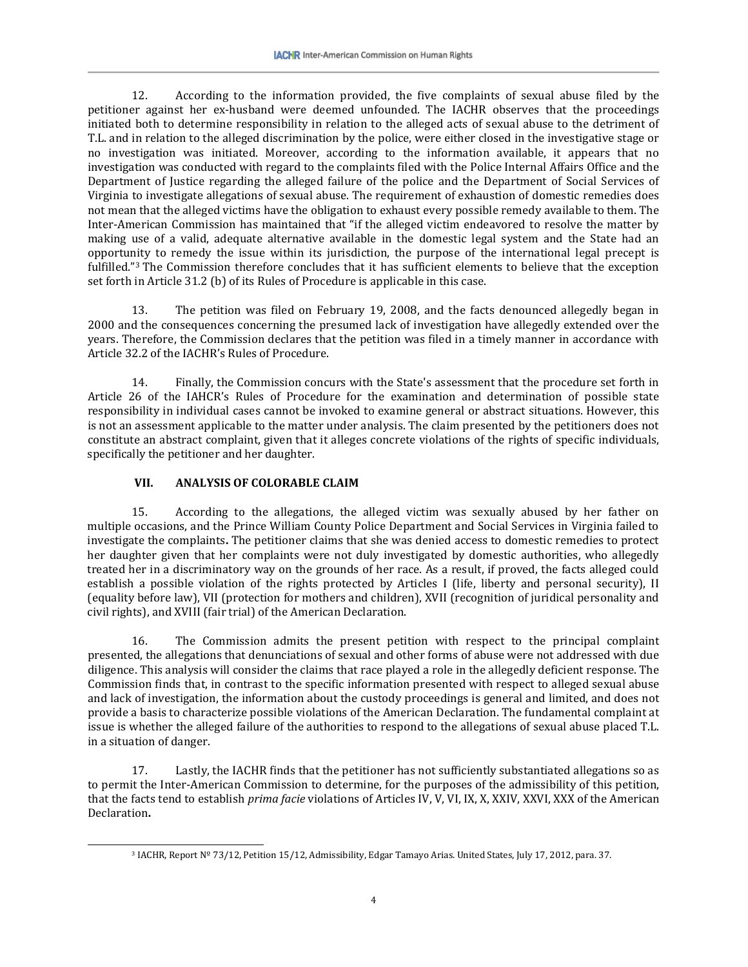12. According to the information provided, the five complaints of sexual abuse filed by the petitioner against her ex-husband were deemed unfounded. The IACHR observes that the proceedings initiated both to determine responsibility in relation to the alleged acts of sexual abuse to the detriment of T.L. and in relation to the alleged discrimination by the police, were either closed in the investigative stage or no investigation was initiated. Moreover, according to the information available, it appears that no investigation was conducted with regard to the complaints filed with the Police Internal Affairs Office and the Department of Justice regarding the alleged failure of the police and the Department of Social Services of Virginia to investigate allegations of sexual abuse. The requirement of exhaustion of domestic remedies does not mean that the alleged victims have the obligation to exhaust every possible remedy available to them. The Inter-American Commission has maintained that "if the alleged victim endeavored to resolve the matter by making use of a valid, adequate alternative available in the domestic legal system and the State had an opportunity to remedy the issue within its jurisdiction, the purpose of the international legal precept is fulfilled."[3](#page-4-0) The Commission therefore concludes that it has sufficient elements to believe that the exception set forth in Article 31.2 (b) of its Rules of Procedure is applicable in this case.

13. The petition was filed on February 19, 2008, and the facts denounced allegedly began in 2000 and the consequences concerning the presumed lack of investigation have allegedly extended over the years. Therefore, the Commission declares that the petition was filed in a timely manner in accordance with Article 32.2 of the IACHR's Rules of Procedure.

14. Finally, the Commission concurs with the State's assessment that the procedure set forth in Article 26 of the IAHCR's Rules of Procedure for the examination and determination of possible state responsibility in individual cases cannot be invoked to examine general or abstract situations. However, this is not an assessment applicable to the matter under analysis. The claim presented by the petitioners does not constitute an abstract complaint, given that it alleges concrete violations of the rights of specific individuals, specifically the petitioner and her daughter.

# **VII. ANALYSIS OF COLORABLE CLAIM**

15. According to the allegations, the alleged victim was sexually abused by her father on multiple occasions, and the Prince William County Police Department and Social Services in Virginia failed to investigate the complaints**.** The petitioner claims that she was denied access to domestic remedies to protect her daughter given that her complaints were not duly investigated by domestic authorities, who allegedly treated her in a discriminatory way on the grounds of her race. As a result, if proved, the facts alleged could establish a possible violation of the rights protected by Articles I (life, liberty and personal security), II (equality before law), VII (protection for mothers and children), XVII (recognition of juridical personality and civil rights), and XVIII (fair trial) of the American Declaration.

16. The Commission admits the present petition with respect to the principal complaint presented, the allegations that denunciations of sexual and other forms of abuse were not addressed with due diligence. This analysis will consider the claims that race played a role in the allegedly deficient response. The Commission finds that, in contrast to the specific information presented with respect to alleged sexual abuse and lack of investigation, the information about the custody proceedings is general and limited, and does not provide a basis to characterize possible violations of the American Declaration. The fundamental complaint at issue is whether the alleged failure of the authorities to respond to the allegations of sexual abuse placed T.L. in a situation of danger.

<span id="page-4-0"></span>17. Lastly, the IACHR finds that the petitioner has not sufficiently substantiated allegations so as to permit the Inter-American Commission to determine, for the purposes of the admissibility of this petition, that the facts tend to establish *prima facie* violations of Articles IV, V, VI, IX, X, XXIV, XXVI, XXX of the American Declaration**.**

 <sup>3</sup> IACHR, Report Nº 73/12, Petition 15/12, Admissibility, Edgar Tamayo Arias. United States, July 17, 2012, para. 37.